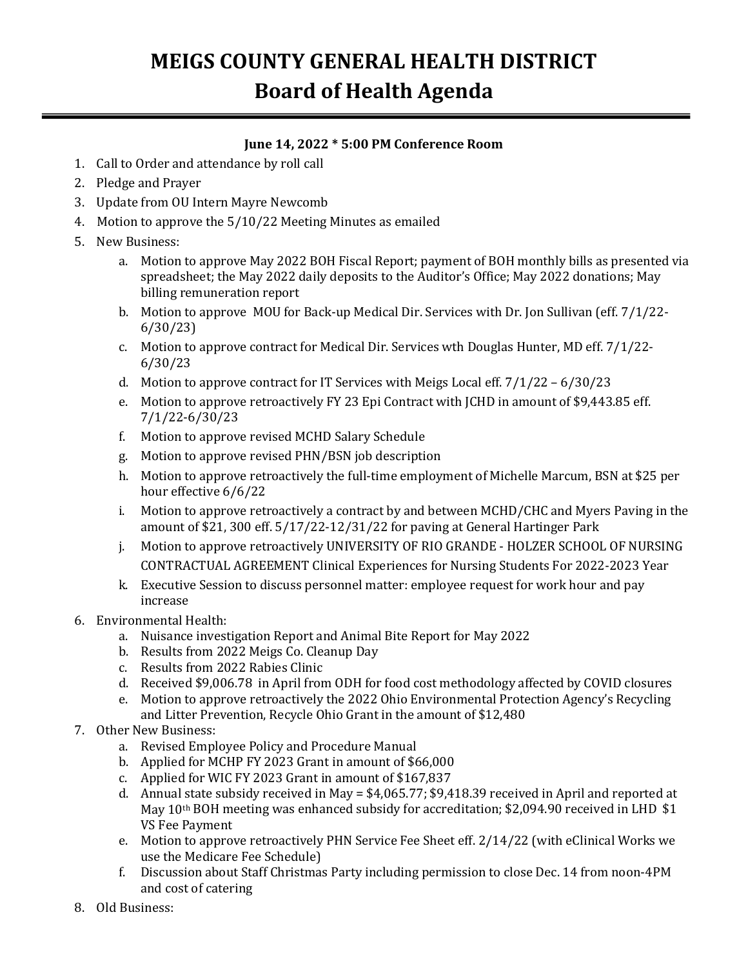## **MEIGS COUNTY GENERAL HEALTH DISTRICT Board of Health Agenda**

## **June 14, 2022 \* 5:00 PM Conference Room**

- 1. Call to Order and attendance by roll call
- 2. Pledge and Prayer
- 3. Update from OU Intern Mayre Newcomb
- 4. Motion to approve the 5/10/22 Meeting Minutes as emailed
- 5. New Business:
	- a. Motion to approve May 2022 BOH Fiscal Report; payment of BOH monthly bills as presented via spreadsheet; the May 2022 daily deposits to the Auditor's Office; May 2022 donations; May billing remuneration report
	- b. Motion to approve MOU for Back-up Medical Dir. Services with Dr. Jon Sullivan (eff. 7/1/22- 6/30/23)
	- c. Motion to approve contract for Medical Dir. Services wth Douglas Hunter, MD eff. 7/1/22- 6/30/23
	- d. Motion to approve contract for IT Services with Meigs Local eff. 7/1/22 6/30/23
	- e. Motion to approve retroactively FY 23 Epi Contract with JCHD in amount of \$9,443.85 eff. 7/1/22-6/30/23
	- f. Motion to approve revised MCHD Salary Schedule
	- g. Motion to approve revised PHN/BSN job description
	- h. Motion to approve retroactively the full-time employment of Michelle Marcum, BSN at \$25 per hour effective 6/6/22
	- i. Motion to approve retroactively a contract by and between MCHD/CHC and Myers Paving in the amount of \$21, 300 eff. 5/17/22-12/31/22 for paving at General Hartinger Park
	- j. Motion to approve retroactively UNIVERSITY OF RIO GRANDE HOLZER SCHOOL OF NURSING CONTRACTUAL AGREEMENT Clinical Experiences for Nursing Students For 2022-2023 Year
	- k. Executive Session to discuss personnel matter: employee request for work hour and pay increase
- 6. Environmental Health:
	- a. Nuisance investigation Report and Animal Bite Report for May 2022
	- b. Results from 2022 Meigs Co. Cleanup Day
	- c. Results from 2022 Rabies Clinic
	- d. Received \$9,006.78 in April from ODH for food cost methodology affected by COVID closures
	- e. Motion to approve retroactively the 2022 Ohio Environmental Protection Agency's Recycling and Litter Prevention, Recycle Ohio Grant in the amount of \$12,480
- 7. Other New Business:
	- a. Revised Employee Policy and Procedure Manual
	- b. Applied for MCHP FY 2023 Grant in amount of \$66,000
	- c. Applied for WIC FY 2023 Grant in amount of \$167,837
	- d. Annual state subsidy received in May = \$4,065.77; \$9,418.39 received in April and reported at May  $10<sup>th</sup>$  BOH meeting was enhanced subsidy for accreditation; \$2,094.90 received in LHD \$1 VS Fee Payment
	- e. Motion to approve retroactively PHN Service Fee Sheet eff. 2/14/22 (with eClinical Works we use the Medicare Fee Schedule)
	- f. Discussion about Staff Christmas Party including permission to close Dec. 14 from noon-4PM and cost of catering
- 8. Old Business: